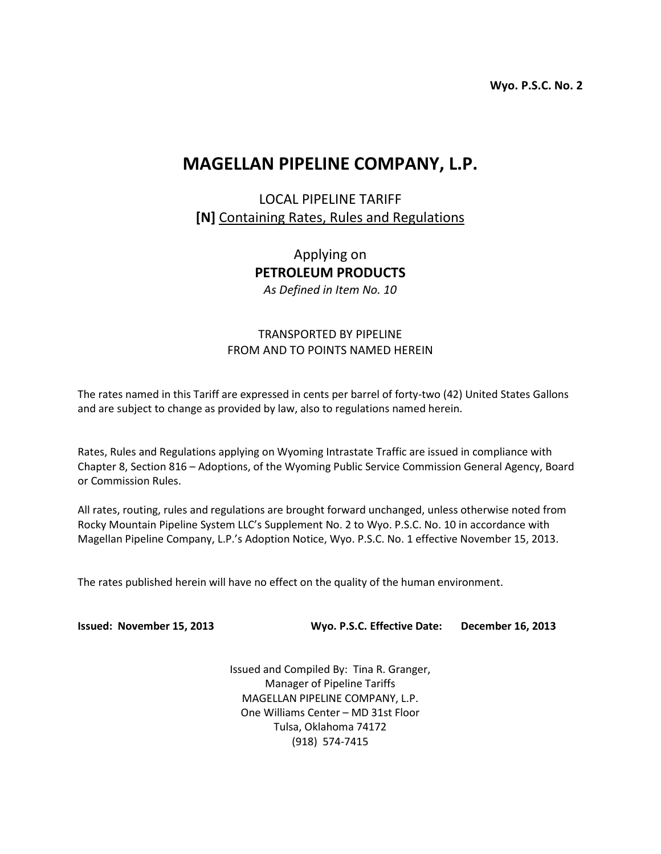**Wyo. P.S.C. No. 2**

# **MAGELLAN PIPELINE COMPANY, L.P.**

LOCAL PIPELINE TARIFF **[N]** Containing Rates, Rules and Regulations

> Applying on **PETROLEUM PRODUCTS** *As Defined in Item No. 10*

# TRANSPORTED BY PIPELINE FROM AND TO POINTS NAMED HEREIN

The rates named in this Tariff are expressed in cents per barrel of forty-two (42) United States Gallons and are subject to change as provided by law, also to regulations named herein.

Rates, Rules and Regulations applying on Wyoming Intrastate Traffic are issued in compliance with Chapter 8, Section 816 – Adoptions, of the Wyoming Public Service Commission General Agency, Board or Commission Rules.

All rates, routing, rules and regulations are brought forward unchanged, unless otherwise noted from Rocky Mountain Pipeline System LLC's Supplement No. 2 to Wyo. P.S.C. No. 10 in accordance with Magellan Pipeline Company, L.P.'s Adoption Notice, Wyo. P.S.C. No. 1 effective November 15, 2013.

The rates published herein will have no effect on the quality of the human environment.

**Issued: November 15, 2013 Wyo. P.S.C. Effective Date: December 16, 2013**

Issued and Compiled By: Tina R. Granger, Manager of Pipeline Tariffs MAGELLAN PIPELINE COMPANY, L.P. One Williams Center – MD 31st Floor Tulsa, Oklahoma 74172 (918) 574-7415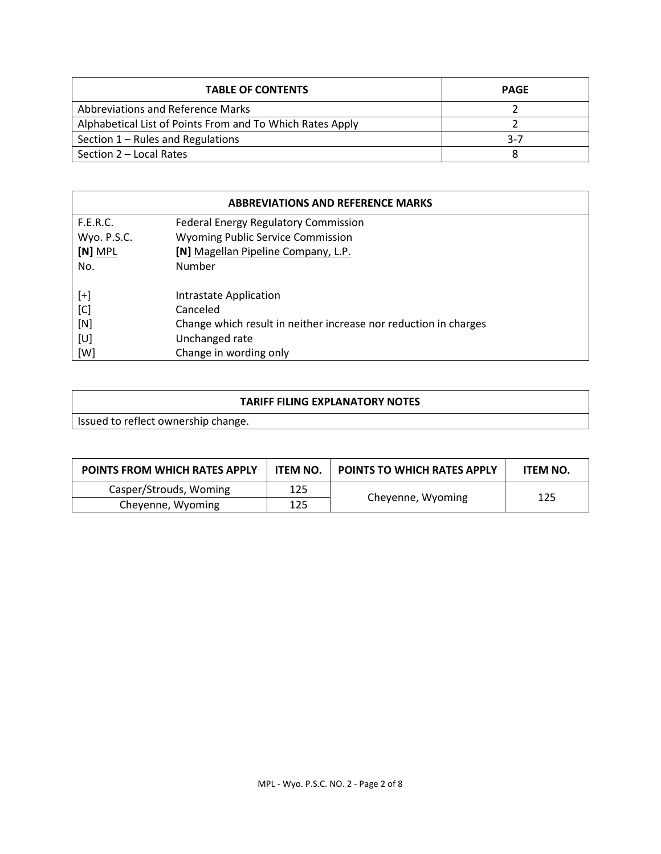| <b>TABLE OF CONTENTS</b>                                  | <b>PAGE</b> |
|-----------------------------------------------------------|-------------|
| Abbreviations and Reference Marks                         |             |
| Alphabetical List of Points From and To Which Rates Apply |             |
| Section 1 – Rules and Regulations                         | $3 - 7$     |
| Section 2 – Local Rates                                   |             |

| <b>ABBREVIATIONS AND REFERENCE MARKS</b> |                                                                  |  |  |  |
|------------------------------------------|------------------------------------------------------------------|--|--|--|
| <b>F.E.R.C.</b>                          | <b>Federal Energy Regulatory Commission</b>                      |  |  |  |
| Wyo. P.S.C.                              | <b>Wyoming Public Service Commission</b>                         |  |  |  |
| $[N]$ MPL                                | [N] Magellan Pipeline Company, L.P.                              |  |  |  |
| No.                                      | Number                                                           |  |  |  |
| [+]                                      | Intrastate Application                                           |  |  |  |
| [C]                                      | Canceled                                                         |  |  |  |
| [N]                                      | Change which result in neither increase nor reduction in charges |  |  |  |
| [U]                                      | Unchanged rate                                                   |  |  |  |
| [W]                                      | Change in wording only                                           |  |  |  |

Issued to reflect ownership change.

| <b>POINTS FROM WHICH RATES APPLY</b> | ITEM NO. | <b>POINTS TO WHICH RATES APPLY</b> | <b>ITEM NO.</b> |
|--------------------------------------|----------|------------------------------------|-----------------|
| Casper/Strouds, Woming               | 125      |                                    |                 |
| Cheyenne, Wyoming                    | 125      | 125<br>Cheyenne, Wyoming           |                 |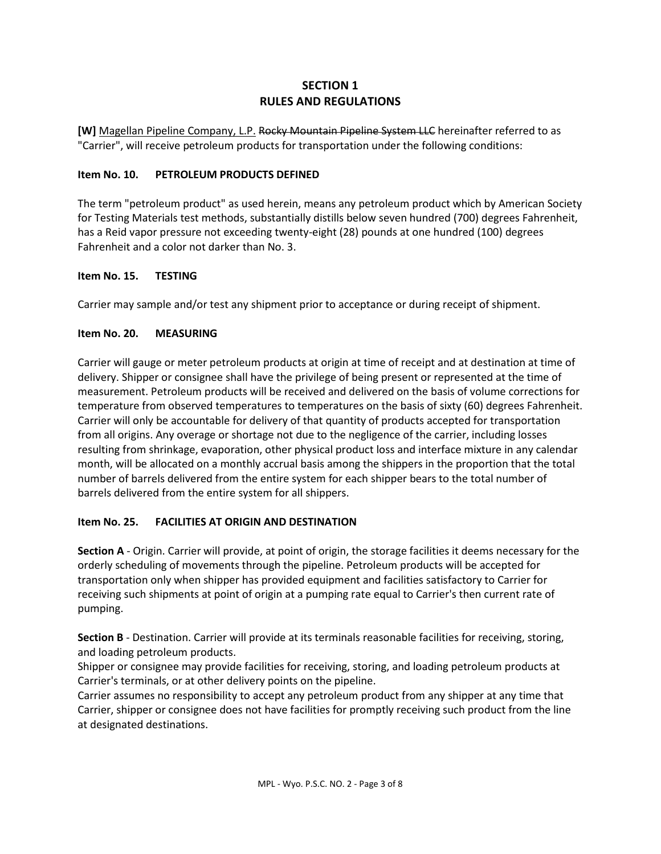# **SECTION 1 RULES AND REGULATIONS**

**[W]** Magellan Pipeline Company, L.P. Rocky Mountain Pipeline System LLC hereinafter referred to as "Carrier", will receive petroleum products for transportation under the following conditions:

#### **Item No. 10. PETROLEUM PRODUCTS DEFINED**

The term "petroleum product" as used herein, means any petroleum product which by American Society for Testing Materials test methods, substantially distills below seven hundred (700) degrees Fahrenheit, has a Reid vapor pressure not exceeding twenty-eight (28) pounds at one hundred (100) degrees Fahrenheit and a color not darker than No. 3.

#### **Item No. 15. TESTING**

Carrier may sample and/or test any shipment prior to acceptance or during receipt of shipment.

## **Item No. 20. MEASURING**

Carrier will gauge or meter petroleum products at origin at time of receipt and at destination at time of delivery. Shipper or consignee shall have the privilege of being present or represented at the time of measurement. Petroleum products will be received and delivered on the basis of volume corrections for temperature from observed temperatures to temperatures on the basis of sixty (60) degrees Fahrenheit. Carrier will only be accountable for delivery of that quantity of products accepted for transportation from all origins. Any overage or shortage not due to the negligence of the carrier, including losses resulting from shrinkage, evaporation, other physical product loss and interface mixture in any calendar month, will be allocated on a monthly accrual basis among the shippers in the proportion that the total number of barrels delivered from the entire system for each shipper bears to the total number of barrels delivered from the entire system for all shippers.

## **Item No. 25. FACILITIES AT ORIGIN AND DESTINATION**

**Section A** - Origin. Carrier will provide, at point of origin, the storage facilities it deems necessary for the orderly scheduling of movements through the pipeline. Petroleum products will be accepted for transportation only when shipper has provided equipment and facilities satisfactory to Carrier for receiving such shipments at point of origin at a pumping rate equal to Carrier's then current rate of pumping.

**Section B** - Destination. Carrier will provide at its terminals reasonable facilities for receiving, storing, and loading petroleum products.

Shipper or consignee may provide facilities for receiving, storing, and loading petroleum products at Carrier's terminals, or at other delivery points on the pipeline.

Carrier assumes no responsibility to accept any petroleum product from any shipper at any time that Carrier, shipper or consignee does not have facilities for promptly receiving such product from the line at designated destinations.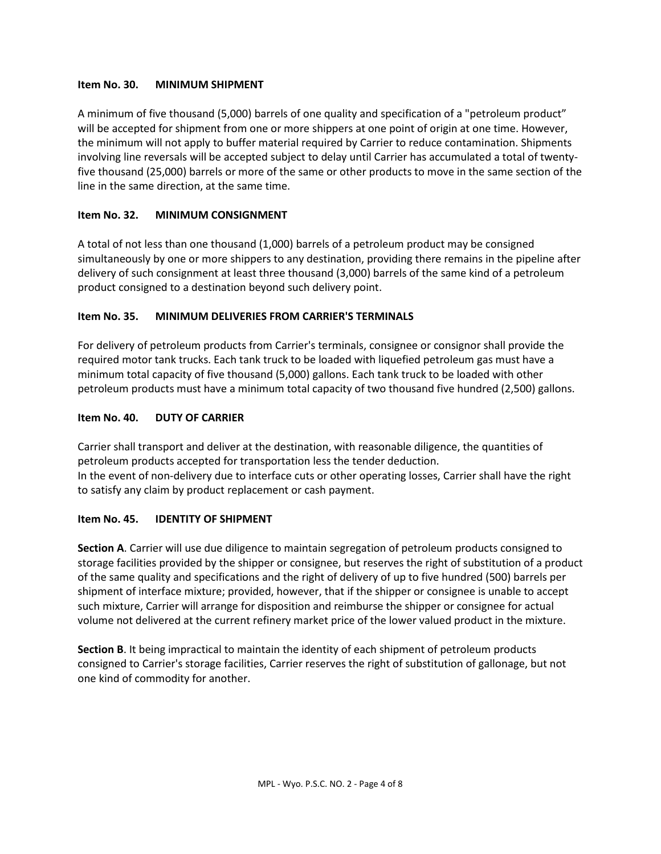#### **Item No. 30. MINIMUM SHIPMENT**

A minimum of five thousand (5,000) barrels of one quality and specification of a "petroleum product" will be accepted for shipment from one or more shippers at one point of origin at one time. However, the minimum will not apply to buffer material required by Carrier to reduce contamination. Shipments involving line reversals will be accepted subject to delay until Carrier has accumulated a total of twentyfive thousand (25,000) barrels or more of the same or other products to move in the same section of the line in the same direction, at the same time.

## **Item No. 32. MINIMUM CONSIGNMENT**

A total of not less than one thousand (1,000) barrels of a petroleum product may be consigned simultaneously by one or more shippers to any destination, providing there remains in the pipeline after delivery of such consignment at least three thousand (3,000) barrels of the same kind of a petroleum product consigned to a destination beyond such delivery point.

## **Item No. 35. MINIMUM DELIVERIES FROM CARRIER'S TERMINALS**

For delivery of petroleum products from Carrier's terminals, consignee or consignor shall provide the required motor tank trucks. Each tank truck to be loaded with liquefied petroleum gas must have a minimum total capacity of five thousand (5,000) gallons. Each tank truck to be loaded with other petroleum products must have a minimum total capacity of two thousand five hundred (2,500) gallons.

#### **Item No. 40. DUTY OF CARRIER**

Carrier shall transport and deliver at the destination, with reasonable diligence, the quantities of petroleum products accepted for transportation less the tender deduction. In the event of non-delivery due to interface cuts or other operating losses, Carrier shall have the right to satisfy any claim by product replacement or cash payment.

#### **Item No. 45. IDENTITY OF SHIPMENT**

**Section A**. Carrier will use due diligence to maintain segregation of petroleum products consigned to storage facilities provided by the shipper or consignee, but reserves the right of substitution of a product of the same quality and specifications and the right of delivery of up to five hundred (500) barrels per shipment of interface mixture; provided, however, that if the shipper or consignee is unable to accept such mixture, Carrier will arrange for disposition and reimburse the shipper or consignee for actual volume not delivered at the current refinery market price of the lower valued product in the mixture.

**Section B**. It being impractical to maintain the identity of each shipment of petroleum products consigned to Carrier's storage facilities, Carrier reserves the right of substitution of gallonage, but not one kind of commodity for another.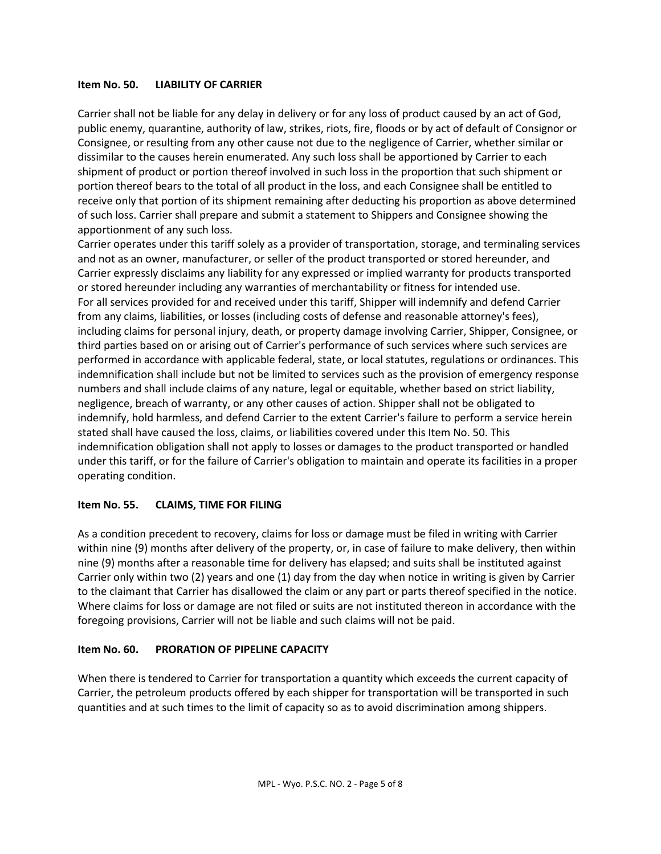#### **Item No. 50. LIABILITY OF CARRIER**

Carrier shall not be liable for any delay in delivery or for any loss of product caused by an act of God, public enemy, quarantine, authority of law, strikes, riots, fire, floods or by act of default of Consignor or Consignee, or resulting from any other cause not due to the negligence of Carrier, whether similar or dissimilar to the causes herein enumerated. Any such loss shall be apportioned by Carrier to each shipment of product or portion thereof involved in such loss in the proportion that such shipment or portion thereof bears to the total of all product in the loss, and each Consignee shall be entitled to receive only that portion of its shipment remaining after deducting his proportion as above determined of such loss. Carrier shall prepare and submit a statement to Shippers and Consignee showing the apportionment of any such loss.

Carrier operates under this tariff solely as a provider of transportation, storage, and terminaling services and not as an owner, manufacturer, or seller of the product transported or stored hereunder, and Carrier expressly disclaims any liability for any expressed or implied warranty for products transported or stored hereunder including any warranties of merchantability or fitness for intended use. For all services provided for and received under this tariff, Shipper will indemnify and defend Carrier from any claims, liabilities, or losses (including costs of defense and reasonable attorney's fees), including claims for personal injury, death, or property damage involving Carrier, Shipper, Consignee, or third parties based on or arising out of Carrier's performance of such services where such services are performed in accordance with applicable federal, state, or local statutes, regulations or ordinances. This indemnification shall include but not be limited to services such as the provision of emergency response numbers and shall include claims of any nature, legal or equitable, whether based on strict liability, negligence, breach of warranty, or any other causes of action. Shipper shall not be obligated to indemnify, hold harmless, and defend Carrier to the extent Carrier's failure to perform a service herein stated shall have caused the loss, claims, or liabilities covered under this Item No. 50. This indemnification obligation shall not apply to losses or damages to the product transported or handled under this tariff, or for the failure of Carrier's obligation to maintain and operate its facilities in a proper operating condition.

#### **Item No. 55. CLAIMS, TIME FOR FILING**

As a condition precedent to recovery, claims for loss or damage must be filed in writing with Carrier within nine (9) months after delivery of the property, or, in case of failure to make delivery, then within nine (9) months after a reasonable time for delivery has elapsed; and suits shall be instituted against Carrier only within two (2) years and one (1) day from the day when notice in writing is given by Carrier to the claimant that Carrier has disallowed the claim or any part or parts thereof specified in the notice. Where claims for loss or damage are not filed or suits are not instituted thereon in accordance with the foregoing provisions, Carrier will not be liable and such claims will not be paid.

#### **Item No. 60. PRORATION OF PIPELINE CAPACITY**

When there is tendered to Carrier for transportation a quantity which exceeds the current capacity of Carrier, the petroleum products offered by each shipper for transportation will be transported in such quantities and at such times to the limit of capacity so as to avoid discrimination among shippers.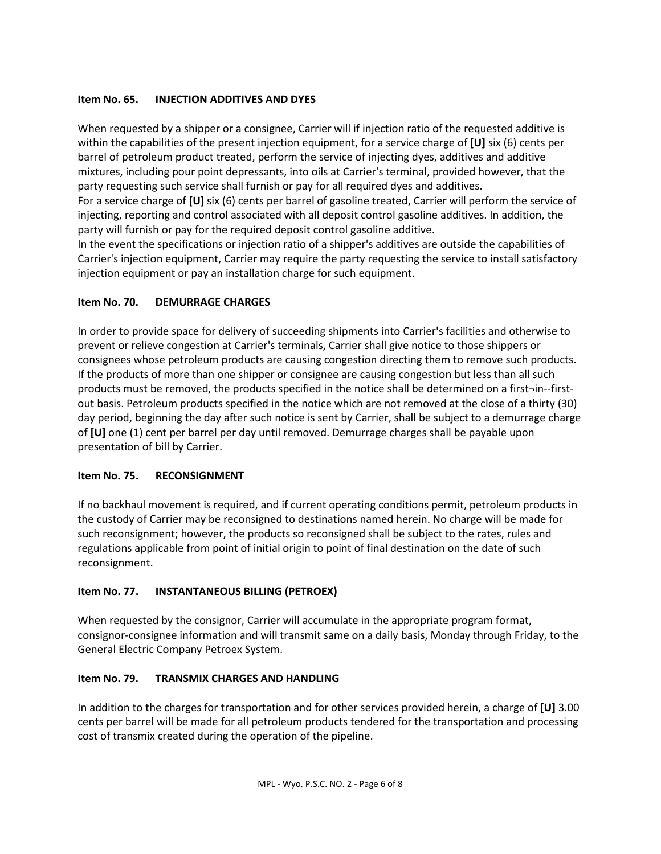## **Item No. 65. INJECTION ADDITIVES AND DYES**

When requested by a shipper or a consignee, Carrier will if injection ratio of the requested additive is within the capabilities of the present injection equipment, for a service charge of **[U]** six (6) cents per barrel of petroleum product treated, perform the service of injecting dyes, additives and additive mixtures, including pour point depressants, into oils at Carrier's terminal, provided however, that the party requesting such service shall furnish or pay for all required dyes and additives.

For a service charge of **[U]** six (6) cents per barrel of gasoline treated, Carrier will perform the service of injecting, reporting and control associated with all deposit control gasoline additives. In addition, the party will furnish or pay for the required deposit control gasoline additive.

In the event the specifications or injection ratio of a shipper's additives are outside the capabilities of Carrier's injection equipment, Carrier may require the party requesting the service to install satisfactory injection equipment or pay an installation charge for such equipment.

## **Item No. 70. DEMURRAGE CHARGES**

In order to provide space for delivery of succeeding shipments into Carrier's facilities and otherwise to prevent or relieve congestion at Carrier's terminals, Carrier shall give notice to those shippers or consignees whose petroleum products are causing congestion directing them to remove such products. If the products of more than one shipper or consignee are causing congestion but less than all such products must be removed, the products specified in the notice shall be determined on a first¬in--firstout basis. Petroleum products specified in the notice which are not removed at the close of a thirty (30) day period, beginning the day after such notice is sent by Carrier, shall be subject to a demurrage charge of **[U]** one (1) cent per barrel per day until removed. Demurrage charges shall be payable upon presentation of bill by Carrier.

#### **Item No. 75. RECONSIGNMENT**

If no backhaul movement is required, and if current operating conditions permit, petroleum products in the custody of Carrier may be reconsigned to destinations named herein. No charge will be made for such reconsignment; however, the products so reconsigned shall be subject to the rates, rules and regulations applicable from point of initial origin to point of final destination on the date of such reconsignment.

## **Item No. 77. INSTANTANEOUS BILLING (PETROEX)**

When requested by the consignor, Carrier will accumulate in the appropriate program format, consignor-consignee information and will transmit same on a daily basis, Monday through Friday, to the General Electric Company Petroex System.

## **Item No. 79. TRANSMIX CHARGES AND HANDLING**

In addition to the charges for transportation and for other services provided herein, a charge of **[U]** 3.00 cents per barrel will be made for all petroleum products tendered for the transportation and processing cost of transmix created during the operation of the pipeline.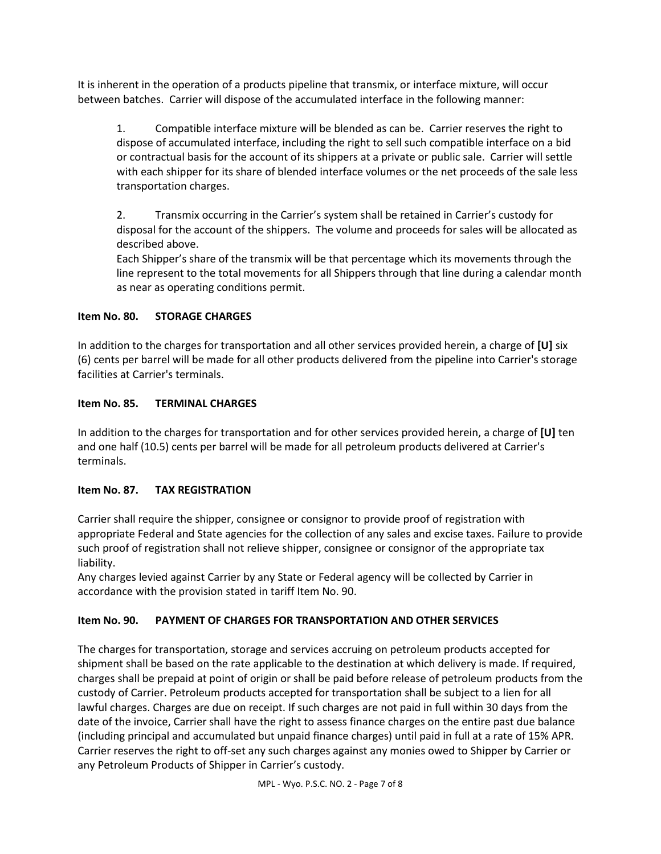It is inherent in the operation of a products pipeline that transmix, or interface mixture, will occur between batches. Carrier will dispose of the accumulated interface in the following manner:

1. Compatible interface mixture will be blended as can be. Carrier reserves the right to dispose of accumulated interface, including the right to sell such compatible interface on a bid or contractual basis for the account of its shippers at a private or public sale. Carrier will settle with each shipper for its share of blended interface volumes or the net proceeds of the sale less transportation charges.

2. Transmix occurring in the Carrier's system shall be retained in Carrier's custody for disposal for the account of the shippers. The volume and proceeds for sales will be allocated as described above.

Each Shipper's share of the transmix will be that percentage which its movements through the line represent to the total movements for all Shippers through that line during a calendar month as near as operating conditions permit.

## **Item No. 80. STORAGE CHARGES**

In addition to the charges for transportation and all other services provided herein, a charge of **[U]** six (6) cents per barrel will be made for all other products delivered from the pipeline into Carrier's storage facilities at Carrier's terminals.

## **Item No. 85. TERMINAL CHARGES**

In addition to the charges for transportation and for other services provided herein, a charge of **[U]** ten and one half (10.5) cents per barrel will be made for all petroleum products delivered at Carrier's terminals.

## **Item No. 87. TAX REGISTRATION**

Carrier shall require the shipper, consignee or consignor to provide proof of registration with appropriate Federal and State agencies for the collection of any sales and excise taxes. Failure to provide such proof of registration shall not relieve shipper, consignee or consignor of the appropriate tax liability.

Any charges levied against Carrier by any State or Federal agency will be collected by Carrier in accordance with the provision stated in tariff Item No. 90.

## **Item No. 90. PAYMENT OF CHARGES FOR TRANSPORTATION AND OTHER SERVICES**

The charges for transportation, storage and services accruing on petroleum products accepted for shipment shall be based on the rate applicable to the destination at which delivery is made. If required, charges shall be prepaid at point of origin or shall be paid before release of petroleum products from the custody of Carrier. Petroleum products accepted for transportation shall be subject to a lien for all lawful charges. Charges are due on receipt. If such charges are not paid in full within 30 days from the date of the invoice, Carrier shall have the right to assess finance charges on the entire past due balance (including principal and accumulated but unpaid finance charges) until paid in full at a rate of 15% APR. Carrier reserves the right to off-set any such charges against any monies owed to Shipper by Carrier or any Petroleum Products of Shipper in Carrier's custody.